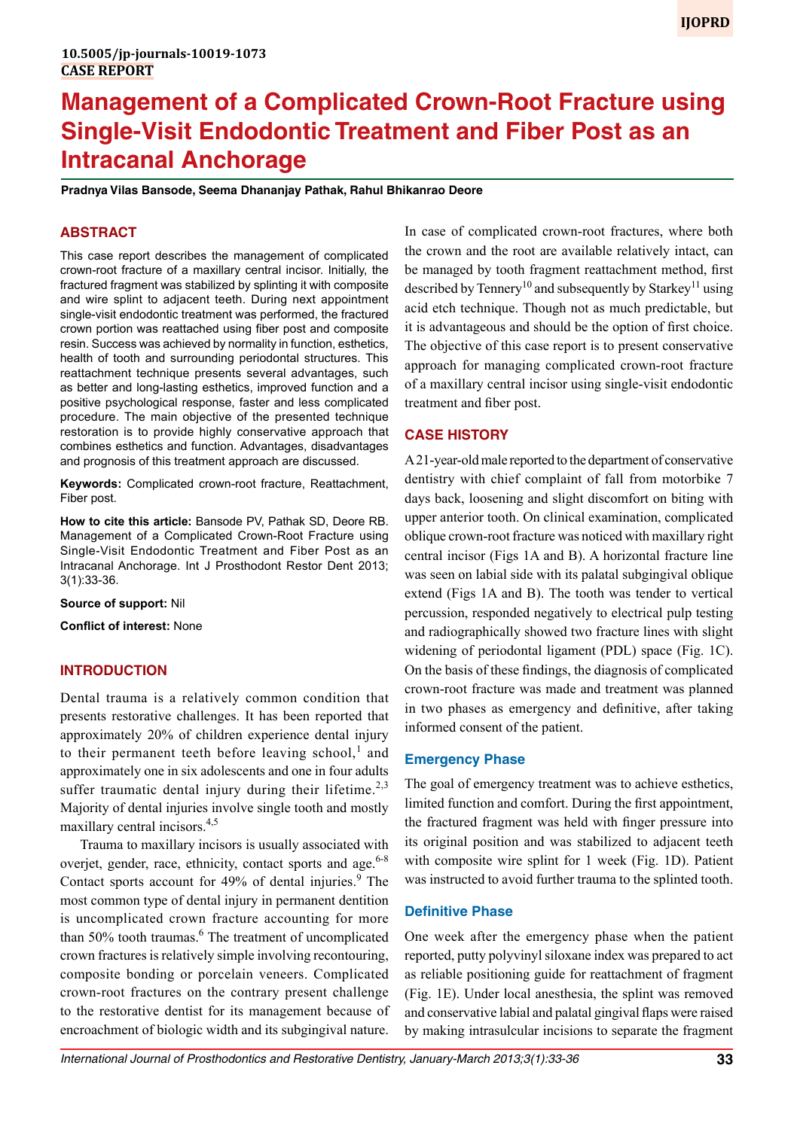# **Management of a Complicated Crown-Root Fracture using Single-Visit Endodontic Treatment and Fiber Post as an Intracanal Anchorage**

**Pradnya Vilas Bansode, Seema Dhananjay Pathak, Rahul Bhikanrao Deore**

## **ABSTRACT**

This case report describes the management of complicated crown-root fracture of a maxillary central incisor. Initially, the fractured fragment was stabilized by splinting it with composite and wire splint to adjacent teeth. During next appointment single-visit endodontic treatment was performed, the fractured crown portion was reattached using fiber post and composite resin. Success was achieved by normality in function, esthetics, health of tooth and surrounding periodontal structures. This reattachment technique presents several advantages, such as better and long-lasting esthetics, improved function and a positive psychological response, faster and less complicated procedure. The main objective of the presented technique restoration is to provide highly conservative approach that combines esthetics and function. Advantages, disadvantages and prognosis of this treatment approach are discussed.

**Keywords:** Complicated crown-root fracture, Reattachment, Fiber post.

**How to cite this article:** Bansode PV, Pathak SD, Deore RB. Management of a Complicated Crown-Root Fracture using Single-Visit Endodontic Treatment and Fiber Post as an Intracanal Anchorage. Int J Prosthodont Restor Dent 2013; 3(1):33-36.

**Source of support:** Nil

**Conflict of interest:** None

# **INTRODUCTION**

Dental trauma is a relatively common condition that presents restorative challenges. It has been reported that approximately 20% of children experience dental injury to their permanent teeth before leaving school, $<sup>1</sup>$  and</sup> approximately one in six adolescents and one in four adults suffer traumatic dental injury during their lifetime.<sup>2,3</sup> Majority of dental injuries involve single tooth and mostly maxillary central incisors.4,5

Trauma to maxillary incisors is usually associated with overjet, gender, race, ethnicity, contact sports and age. $6-8$ Contact sports account for  $49\%$  of dental injuries.<sup>9</sup> The most common type of dental injury in permanent dentition is uncomplicated crown fracture accounting for more than 50% tooth traumas.<sup>6</sup> The treatment of uncomplicated crown fractures is relatively simple involving recontouring, composite bonding or porcelain veneers. Complicated crown-root fractures on the contrary present challenge to the restorative dentist for its management because of encroachment of biologic width and its subgingival nature.

In case of complicated crown-root fractures, where both the crown and the root are available relatively intact, can be managed by tooth fragment reattachment method, first described by Tennery<sup>10</sup> and subsequently by Starkey<sup>11</sup> using acid etch technique. Though not as much predictable, but it is advantageous and should be the option of first choice. The objective of this case report is to present conservative approach for managing complicated crown-root fracture of a maxillary central incisor using single-visit endodontic treatment and fiber post.

## **CASE HISTORY**

A 21-year-old male reported to the department of conservative dentistry with chief complaint of fall from motorbike 7 days back, loosening and slight discomfort on biting with upper anterior tooth. On clinical examination, complicated oblique crown-root fracture was noticed with maxillary right central incisor (Figs 1A and B). A horizontal fracture line was seen on labial side with its palatal subgingival oblique extend (Figs 1A and B). The tooth was tender to vertical percussion, responded negatively to electrical pulp testing and radiographically showed two fracture lines with slight widening of periodontal ligament (PDL) space (Fig. 1C). On the basis of these findings, the diagnosis of complicated crown-root fracture was made and treatment was planned in two phases as emergency and definitive, after taking informed consent of the patient.

#### **Emergency Phase**

The goal of emergency treatment was to achieve esthetics, limited function and comfort. During the first appointment, the fractured fragment was held with finger pressure into its original position and was stabilized to adjacent teeth with composite wire splint for 1 week (Fig. 1D). Patient was instructed to avoid further trauma to the splinted tooth.

#### **Definitive Phase**

One week after the emergency phase when the patient reported, putty polyvinyl siloxane index was prepared to act as reliable positioning guide for reattachment of fragment (Fig. 1E). Under local anesthesia, the splint was removed and conservative labial and palatal gingival flaps were raised by making intrasulcular incisions to separate the fragment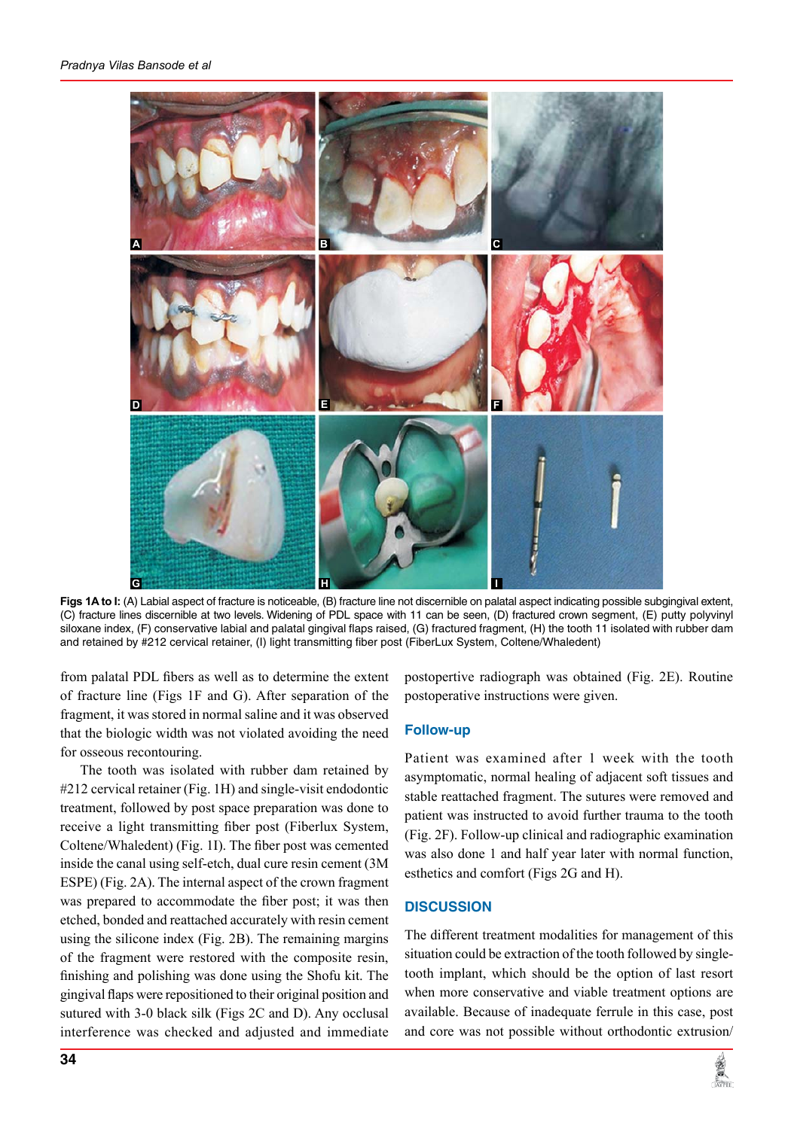

**Figs 1A to I:** (A) Labial aspect of fracture is noticeable, (B) fracture line not discernible on palatal aspect indicating possible subgingival extent, (C) fracture lines discernible at two levels. Widening of PDL space with 11 can be seen, (D) fractured crown segment, (E) putty polyvinyl siloxane index, (F) conservative labial and palatal gingival flaps raised, (G) fractured fragment, (H) the tooth 11 isolated with rubber dam and retained by #212 cervical retainer, (I) light transmitting fiber post (FiberLux System, Coltene/Whaledent)

from palatal PDL fibers as well as to determine the extent of fracture line (Figs 1F and G). After separation of the fragment, it was stored in normal saline and it was observed that the biologic width was not violated avoiding the need for osseous recontouring.

The tooth was isolated with rubber dam retained by #212 cervical retainer (Fig. 1H) and single-visit endodontic treatment, followed by post space preparation was done to receive a light transmitting fiber post (Fiberlux System, Coltene/Whaledent) (Fig. 1I). The fiber post was cemented inside the canal using self-etch, dual cure resin cement (3M ESPE) (Fig. 2A). The internal aspect of the crown fragment was prepared to accommodate the fiber post; it was then etched, bonded and reattached accurately with resin cement using the silicone index (Fig. 2B). The remaining margins of the fragment were restored with the composite resin, finishing and polishing was done using the Shofu kit. The gingival flaps were repositioned to their original position and sutured with 3-0 black silk (Figs 2C and D). Any occlusal interference was checked and adjusted and immediate

postopertive radiograph was obtained (Fig. 2E). Routine postoperative instructions were given.

# **Follow-up**

Patient was examined after 1 week with the tooth asymptomatic, normal healing of adjacent soft tissues and stable reattached fragment. The sutures were removed and patient was instructed to avoid further trauma to the tooth (Fig. 2F). Follow-up clinical and radiographic examination was also done 1 and half year later with normal function, esthetics and comfort (Figs 2G and H).

### **DISCUSSION**

The different treatment modalities for management of this situation could be extraction of the tooth followed by singletooth implant, which should be the option of last resort when more conservative and viable treatment options are available. Because of inadequate ferrule in this case, post and core was not possible without orthodontic extrusion/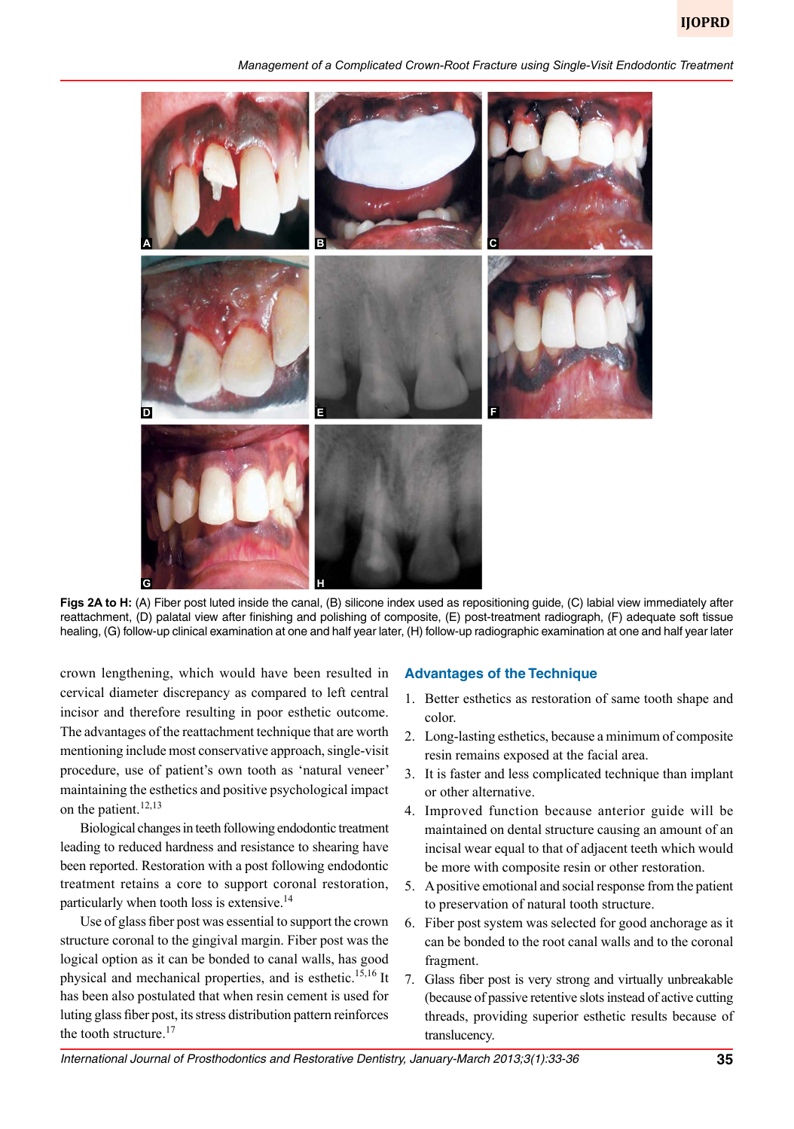*Management of a Complicated Crown-Root Fracture using Single-Visit Endodontic Treatment*



**Figs 2A to H:** (A) Fiber post luted inside the canal, (B) silicone index used as repositioning guide, (C) labial view immediately after reattachment, (D) palatal view after finishing and polishing of composite, (E) post-treatment radiograph, (F) adequate soft tissue healing, (G) follow-up clinical examination at one and half year later, (H) follow-up radiographic examination at one and half year later

crown lengthening, which would have been resulted in cervical diameter discrepancy as compared to left central incisor and therefore resulting in poor esthetic outcome. The advantages of the reattachment technique that are worth mentioning include most conservative approach, single-visit procedure, use of patient's own tooth as 'natural veneer' maintaining the esthetics and positive psychological impact on the patient. $12,13$ 

Biological changes in teeth following endodontic treatment leading to reduced hardness and resistance to shearing have been reported. Restoration with a post following endodontic treatment retains a core to support coronal restoration, particularly when tooth loss is extensive.14

Use of glass fiber post was essential to support the crown structure coronal to the gingival margin. Fiber post was the logical option as it can be bonded to canal walls, has good physical and mechanical properties, and is esthetic.<sup>15,16</sup> It has been also postulated that when resin cement is used for luting glass fiber post, its stress distribution pattern reinforces the tooth structure.<sup>17</sup>

# **Advantages of the Technique**

- 1. Better esthetics as restoration of same tooth shape and color.
- 2. Long-lasting esthetics, because a minimum of composite resin remains exposed at the facial area.
- 3. It is faster and less complicated technique than implant or other alternative.
- 4. Improved function because anterior guide will be maintained on dental structure causing an amount of an incisal wear equal to that of adjacent teeth which would be more with composite resin or other restoration.
- 5. A positive emotional and social response from the patient to preservation of natural tooth structure.
- 6. Fiber post system was selected for good anchorage as it can be bonded to the root canal walls and to the coronal fragment.
- 7. Glass fiber post is very strong and virtually unbreakable (because of passive retentive slots instead of active cutting threads, providing superior esthetic results because of translucency.